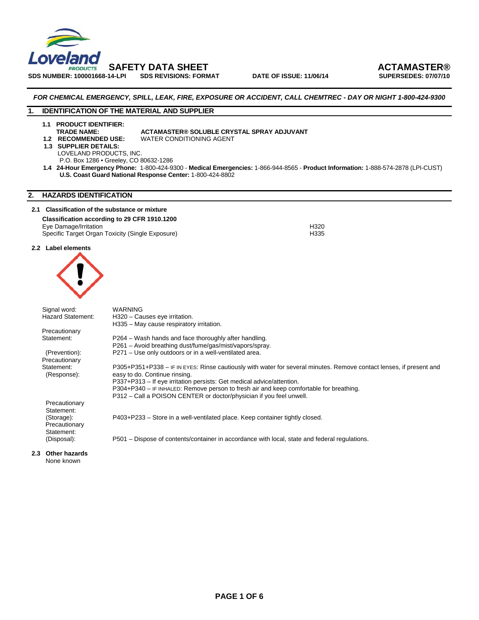

SDS NUMBER: 100001668-14-LPI SDS REVISIONS: FORMAT DATE OF ISSUE: 11/06/14

 **SAFETY DATA SHEET ACTAMASTER®** 

#### *FOR CHEMICAL EMERGENCY, SPILL, LEAK, FIRE, EXPOSURE OR ACCIDENT, CALL CHEMTREC - DAY OR NIGHT 1-800-424-9300*

#### **1. IDENTIFICATION OF THE MATERIAL AND SUPPLIER**

**1.1 PRODUCT IDENTIFIER:** 

#### **TRADE NAME:** ACTAMASTER® SOLUBLE CRYSTAL SPRAY ADJUVANT<br>1.2 RECOMMENDED USE: WATER CONDITIONING AGENT **WATER CONDITIONING AGENT**

- 
- **1.3 SUPPLIER DETAILS:** LOVELAND PRODUCTS, INC.

P.O. Box 1286 • Greeley, CO 80632-1286

 **1.4 24-Hour Emergency Phone:** 1-800-424-9300 - **Medical Emergencies:** 1-866-944-8565 - **Product Information:** 1-888-574-2878 (LPI-CUST) **U.S. Coast Guard National Response Center:** 1-800-424-8802

#### **2. HAZARDS IDENTIFICATION**

#### **2.1 Classification of the substance or mixture**

#### **Classification according to 29 CFR 1910.1200**

Eye Damage/Irritation H320 Specific Target Organ Toxicity (Single Exposure)

#### **2.2 Label elements**



|                  | Signal word:             | <b>WARNING</b>                                                                                                      |
|------------------|--------------------------|---------------------------------------------------------------------------------------------------------------------|
|                  | <b>Hazard Statement:</b> | H320 - Causes eye irritation.                                                                                       |
|                  |                          | H335 - May cause respiratory irritation.                                                                            |
|                  | Precautionary            |                                                                                                                     |
|                  | Statement:               | P264 – Wash hands and face thoroughly after handling.                                                               |
|                  |                          | P261 - Avoid breathing dust/fume/gas/mist/vapors/spray.                                                             |
|                  | (Prevention):            | P271 - Use only outdoors or in a well-ventilated area.                                                              |
|                  | Precautionary            |                                                                                                                     |
|                  | Statement:               | P305+P351+P338 - IF IN EYES: Rinse cautiously with water for several minutes. Remove contact lenses, if present and |
|                  | (Response):              | easy to do. Continue rinsing.                                                                                       |
|                  |                          | P337+P313 – If eye irritation persists: Get medical advice/attention.                                               |
|                  |                          | P304+P340 - IF INHALED: Remove person to fresh air and keep comfortable for breathing.                              |
|                  |                          | P312 – Call a POISON CENTER or doctor/physician if you feel unwell.                                                 |
|                  | Precautionary            |                                                                                                                     |
|                  | Statement:               |                                                                                                                     |
|                  | (Storage):               | P403+P233 – Store in a well-ventilated place. Keep container tightly closed.                                        |
|                  | Precautionary            |                                                                                                                     |
|                  | Statement:               |                                                                                                                     |
|                  | (Disposal):              | P501 – Dispose of contents/container in accordance with local, state and federal regulations.                       |
| 2.3 <sub>2</sub> | <b>Other hazards</b>     |                                                                                                                     |

### None known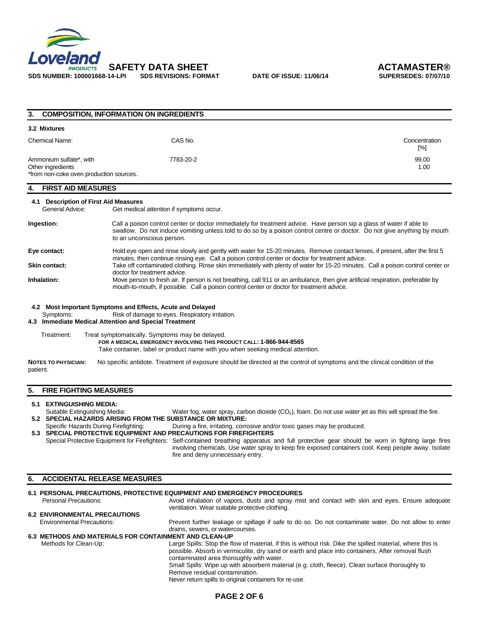

| 3.                                                                                      | <b>COMPOSITION, INFORMATION ON INGREDIENTS</b>                                                                                                                                                                                                                                |                      |  |
|-----------------------------------------------------------------------------------------|-------------------------------------------------------------------------------------------------------------------------------------------------------------------------------------------------------------------------------------------------------------------------------|----------------------|--|
| 3.2 Mixtures                                                                            |                                                                                                                                                                                                                                                                               |                      |  |
| <b>Chemical Name:</b>                                                                   | CAS No.                                                                                                                                                                                                                                                                       | Concentration<br>[%] |  |
| Ammonium sulfate*, with<br>Other ingredients<br>*from non-coke oven production sources. | 7783-20-2                                                                                                                                                                                                                                                                     | 99.00<br>1.00        |  |
| <b>FIRST AID MEASURES</b><br>4.                                                         |                                                                                                                                                                                                                                                                               |                      |  |
| 4.1 Description of First Aid Measures<br>General Advice:                                | Get medical attention if symptoms occur.                                                                                                                                                                                                                                      |                      |  |
| Ingestion:                                                                              | Call a poison control center or doctor immediately for treatment advice. Have person sip a glass of water if able to<br>swallow. Do not induce vomiting unless told to do so by a poison control centre or doctor. Do not give anything by mouth<br>to an unconscious person. |                      |  |
| Eye contact:                                                                            | Hold eye open and rinse slowly and gently with water for 15-20 minutes. Remove contact lenses, if present, after the first 5<br>minutes, then continue rinsing eye. Call a poison control center or doctor for treatment advice.                                              |                      |  |
| <b>Skin contact:</b>                                                                    | Take off contaminated clothing. Rinse skin immediately with plenty of water for 15-20 minutes. Call a poison control center or<br>doctor for treatment advice.                                                                                                                |                      |  |
| Inhalation:                                                                             | Move person to fresh air. If person is not breathing, call 911 or an ambulance, then give artificial respiration, preferable by<br>mouth-to-mouth, if possible. Call a poison control center or doctor for treatment advice.                                                  |                      |  |
|                                                                                         | 4.2 Most Important Symptoms and Effects, Acute and Delayed                                                                                                                                                                                                                    |                      |  |
| Symptoms:                                                                               | Risk of damage to eyes. Respiratory irritation.<br>4.3 Immediate Medical Attention and Special Treatment                                                                                                                                                                      |                      |  |
| Treatment:                                                                              | Treat symptomatically. Symptoms may be delayed.<br>FOR A MEDICAL EMERGENCY INVOLVING THIS PRODUCT CALL: 1-866-944-8565<br>Take container, label or product name with you when seeking medical attention.                                                                      |                      |  |
|                                                                                         | .                                                                                                                                                                                                                                                                             |                      |  |

patient.

**NOTES TO PHYSICIAN:** No specific antidote. Treatment of exposure should be directed at the control of symptoms and the clinical condition of the

#### **5. FIRE FIGHTING MEASURES**

#### **5.1 EXTINGUISHING MEDIA:**

Suitable Extinguishing Media: Water fog, water spray, carbon dioxide (CO<sub>2</sub>), foam. Do not use water jet as this will spread the fire. **5.2 SPECIAL HAZARDS ARISING FROM THE SUBSTANCE OR MIXTURE:** 

During a fire, irritating, corrosive and/or toxic gases may be produced.

**5.3 SPECIAL PROTECTIVE EQUIPMENT AND PRECAUTIONS FOR FIREFIGHTERS**  Special Protective Equipment for Firefighters: Self-contained breathing apparatus and full protective gear should be worn in fighting large fires involving chemicals. Use water spray to keep fire exposed containers cool. Keep people away. Isolate fire and deny unnecessary entry.

#### **6. ACCIDENTAL RELEASE MEASURES 6.1 PERSONAL PRECAUTIONS, PROTECTIVE EQUIPMENT AND EMERGENCY PROCEDURES**<br>Personal Precautions: Avoid inhalation of vapors, dusts and spray mis Avoid inhalation of vapors, dusts and spray mist and contact with skin and eyes. Ensure adequate

## ventilation. Wear suitable protective clothing.

# **6.2 ENVIRONMENTAL PRECAUTIONS**

Environmental Precautions: Prevent further leakage or spillage if safe to do so. Do not contaminate water. Do not allow to enter drains, sewers, or watercourses.

#### **6.3 METHODS AND MATERIALS FOR CONTAINMENT AND CLEAN-UP**

Methods for Clean-Up:Large Spills: Stop the flow of material, if this is without risk. Dike the spilled material, where this is possible. Absorb in vermiculite, dry sand or earth and place into containers. After removal flush contaminated area thoroughly with water. Small Spills: Wipe up with absorbent material (e.g. cloth, fleece). Clean surface thoroughly to Remove residual contamination.

Never return spills to original containers for re-use.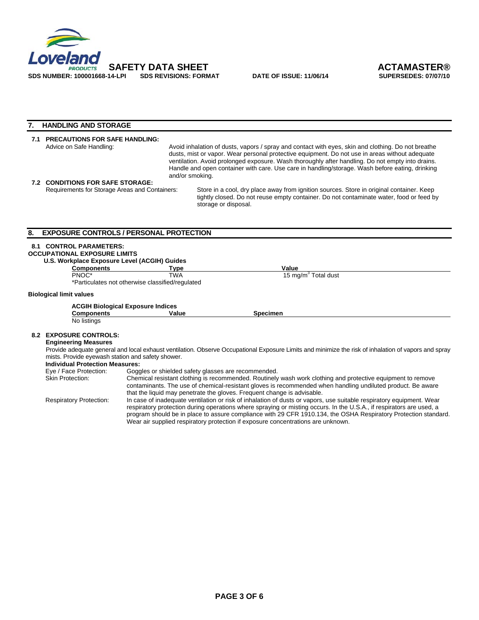

#### **7. HANDLING AND STORAGE**

| <b>PRECAUTIONS FOR SAFE HANDLING:</b><br>Advice on Safe Handling: | Avoid inhalation of dusts, vapors / spray and contact with eyes, skin and clothing. Do not breathe<br>dusts, mist or vapor. Wear personal protective equipment. Do not use in areas without adequate<br>ventilation. Avoid prolonged exposure. Wash thoroughly after handling. Do not empty into drains.<br>Handle and open container with care. Use care in handling/storage. Wash before eating, drinking<br>and/or smoking. |                                                                                                                                                                                                             |  |
|-------------------------------------------------------------------|--------------------------------------------------------------------------------------------------------------------------------------------------------------------------------------------------------------------------------------------------------------------------------------------------------------------------------------------------------------------------------------------------------------------------------|-------------------------------------------------------------------------------------------------------------------------------------------------------------------------------------------------------------|--|
| 7.2 CONDITIONS FOR SAFE STORAGE:                                  |                                                                                                                                                                                                                                                                                                                                                                                                                                |                                                                                                                                                                                                             |  |
| Requirements for Storage Areas and Containers:                    |                                                                                                                                                                                                                                                                                                                                                                                                                                | Store in a cool, dry place away from ignition sources. Store in original container. Keep<br>tightly closed. Do not reuse empty container. Do not contaminate water, food or feed by<br>storage or disposal. |  |

#### **8. EXPOSURE CONTROLS / PERSONAL PROTECTION**

#### **8.1 CONTROL PARAMETERS:**

#### **OCCUPATIONAL EXPOSURE LIMITS U.S. Workplace Exposure Level (ACGIH) Guides**

**Components Type Value Value Value Value Value Value Value Value Value Value Value Value Value Value Value Value Value Value Value Value Value Value Value Value Value Value Value Value Value Value Value Value Value Value V** 

PNOC\* TWA 15 mg/m<sup>3</sup> Total dust

\*Particulates not otherwise classified/regulated

#### **Biological limit values**

| <b>ACGIH Biological Exposure Indices</b> |       |          |
|------------------------------------------|-------|----------|
| Components                               | Value | Specimen |
| No listings                              |       |          |

#### **8.2 EXPOSURE CONTROLS:**

#### **Engineering Measures**

Provide adequate general and local exhaust ventilation. Observe Occupational Exposure Limits and minimize the risk of inhalation of vapors and spray mists. Provide eyewash station and safety shower.

#### **Individual Protection Measures:**

| Eye / Face Protection:         | Goggles or shielded safety glasses are recommended.                                                                  |
|--------------------------------|----------------------------------------------------------------------------------------------------------------------|
| <b>Skin Protection:</b>        | Chemical resistant clothing is recommended. Routinely wash work clothing and protective equipment to remove          |
|                                | contaminants. The use of chemical-resistant gloves is recommended when handling undiluted product. Be aware          |
|                                | that the liquid may penetrate the gloves. Frequent change is advisable.                                              |
| <b>Respiratory Protection:</b> | In case of inadequate ventilation or risk of inhalation of dusts or vapors, use suitable respiratory equipment. Wear |
|                                | respiratory protection during operations where spraying or misting occurs. In the U.S.A., if respirators are used, a |
|                                | program should be in place to assure compliance with 29 CFR 1910.134, the OSHA Respiratory Protection standard.      |
|                                | Wear air supplied respiratory protection if exposure concentrations are unknown.                                     |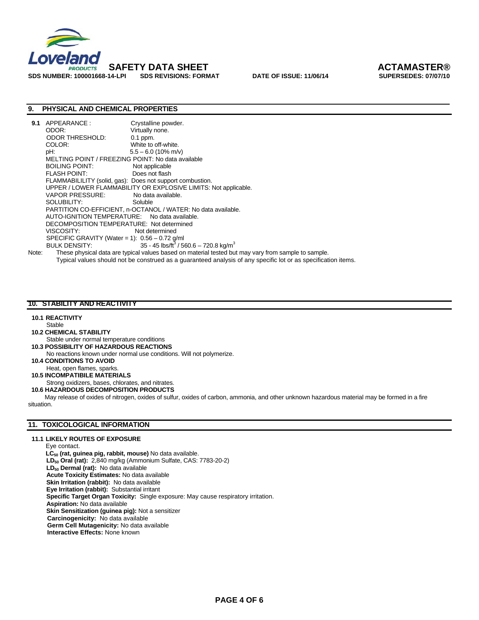

# **SAFETY DATA SHEET ACTAMASTER®**

#### **9. PHYSICAL AND CHEMICAL PROPERTIES**

| 9.1   | APPEARANCE :                                      | Crystalline powder.                                                                                            |
|-------|---------------------------------------------------|----------------------------------------------------------------------------------------------------------------|
|       | ODOR:                                             | Virtually none.                                                                                                |
|       | <b>ODOR THRESHOLD:</b>                            | $0.1$ ppm.                                                                                                     |
|       | COLOR:                                            | White to off-white.                                                                                            |
|       | pH:                                               | $5.5 - 6.0$ (10% m/v)                                                                                          |
|       | MELTING POINT / FREEZING POINT: No data available |                                                                                                                |
|       | BOILING POINT:                                    | Not applicable                                                                                                 |
|       | FLASH POINT:                                      | Does not flash                                                                                                 |
|       |                                                   | FLAMMABILILITY (solid, gas): Does not support combustion.                                                      |
|       |                                                   | UPPER / LOWER FLAMMABILITY OR EXPLOSIVE LIMITS: Not applicable.                                                |
|       | VAPOR PRESSURE:                                   | No data available.                                                                                             |
|       | SOLUBILITY:                                       | Soluble                                                                                                        |
|       |                                                   | PARTITION CO-EFFICIENT, n-OCTANOL / WATER: No data available.                                                  |
|       | AUTO-IGNITION TEMPERATURE: No data available.     |                                                                                                                |
|       | DECOMPOSITION TEMPERATURE: Not determined         |                                                                                                                |
|       | VISCOSITY:                                        | Not determined                                                                                                 |
|       | SPECIFIC GRAVITY (Water = 1): $0.56 - 0.72$ g/ml  |                                                                                                                |
|       | <b>BULK DENSITY:</b>                              | 35 - 45 lbs/ft <sup>3</sup> / 560.6 - 720.8 kg/m <sup>3</sup>                                                  |
| Note: |                                                   | These physical data are typical values based on material tested but may vary from sample to sample.            |
|       |                                                   | Typical values should not be construed as a quaranteed analysis of any specific lot or as specification items. |

#### **10. STABILITY AND REACTIVITY**

#### **10.1 REACTIVITY**

#### Stable

- **10.2 CHEMICAL STABILITY**
- Stable under normal temperature conditions
- **10.3 POSSIBILITY OF HAZARDOUS REACTIONS**
- No reactions known under normal use conditions. Will not polymerize.
- **10.4 CONDITIONS TO AVOID** Heat, open flames, sparks.
- **10.5 INCOMPATIBILE MATERIALS**

Strong oxidizers, bases, chlorates, and nitrates.

#### **10.6 HAZARDOUS DECOMPOSITION PRODUCTS**

 May release of oxides of nitrogen, oxides of sulfur, oxides of carbon, ammonia, and other unknown hazardous material may be formed in a fire situation.

#### **11. TOXICOLOGICAL INFORMATION**

#### **11.1 LIKELY ROUTES OF EXPOSURE**

Eye contact. LC<sub>50</sub> (rat, guinea pig, rabbit, mouse) No data available.  **LD50 Oral (rat):** 2,840 mg/kg (Ammonium Sulfate, CAS: 7783-20-2) LD<sub>50</sub> Dermal (rat): No data available **Acute Toxicity Estimates:** No data available **Skin Irritation (rabbit):** No data available  **Eye Irritation (rabbit):** Substantial irritant  **Specific Target Organ Toxicity:** Single exposure: May cause respiratory irritation. **Aspiration:** No data available **Skin Sensitization (guinea pig):** Not a sensitizer  **Carcinogenicity:** No data available **Germ Cell Mutagenicity:** No data available **Interactive Effects:** None known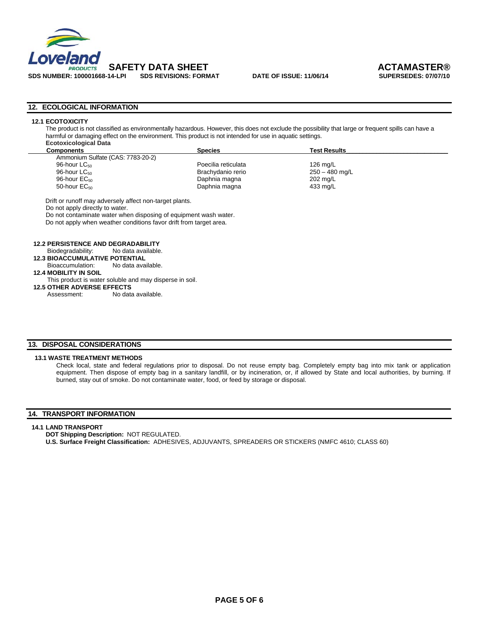

**SDS NUMBER: 100001668-14-LPI SDS REVISIONS: FORMAT DATE OF ISSUE: 11/06/14 SUPERSEDES: 07/07/10** 

#### **12. ECOLOGICAL INFORMATION**

#### **12.1 ECOTOXICITY**

The product is not classified as environmentally hazardous. However, this does not exclude the possibility that large or frequent spills can have a harmful or damaging effect on the environment. This product is not intended for use in aquatic settings. **Ecotoxicological Data** 

| LUULUAIUUIUGIUGI DULU             |                     |                     |  |
|-----------------------------------|---------------------|---------------------|--|
| Components                        | <b>Species</b>      | <b>Test Results</b> |  |
| Ammonium Sulfate (CAS: 7783-20-2) |                     |                     |  |
| 96-hour $\mathsf{LC}_{50}$        | Poecilia reticulata | 126 mg/L            |  |
| 96-hour $\mathsf{LC}_{50}$        | Brachydanio rerio   | 250 – 480 mg/L      |  |
| 96-hour $EC_{50}$                 | Daphnia magna       | 202 mg/L            |  |
| 50-hour $EC_{50}$                 | Daphnia magna       | 433 mg/L            |  |
|                                   |                     |                     |  |

Drift or runoff may adversely affect non-target plants.

Do not apply directly to water.

Do not contaminate water when disposing of equipment wash water.

Do not apply when weather conditions favor drift from target area.

#### **12.2 PERSISTENCE AND DEGRADABILITY**

Biodegradability: No data available.

 **12.3 BIOACCUMULATIVE POTENTIAL** Bioaccumulation: No data available.

**12.4 MOBILITY IN SOIL**

#### This product is water soluble and may disperse in soil.

**12.5 OTHER ADVERSE EFFECTS** 

Assessment: No data available.

#### **13. DISPOSAL CONSIDERATIONS**

#### **13.1 WASTE TREATMENT METHODS**

Check local, state and federal regulations prior to disposal. Do not reuse empty bag. Completely empty bag into mix tank or application equipment. Then dispose of empty bag in a sanitary landfill, or by incineration, or, if allowed by State and local authorities, by burning. If burned, stay out of smoke. Do not contaminate water, food, or feed by storage or disposal.

#### **14. TRANSPORT INFORMATION**

#### **14.1 LAND TRANSPORT**

**DOT Shipping Description:** NOT REGULATED.

**U.S. Surface Freight Classification:** ADHESIVES, ADJUVANTS, SPREADERS OR STICKERS (NMFC 4610; CLASS 60)